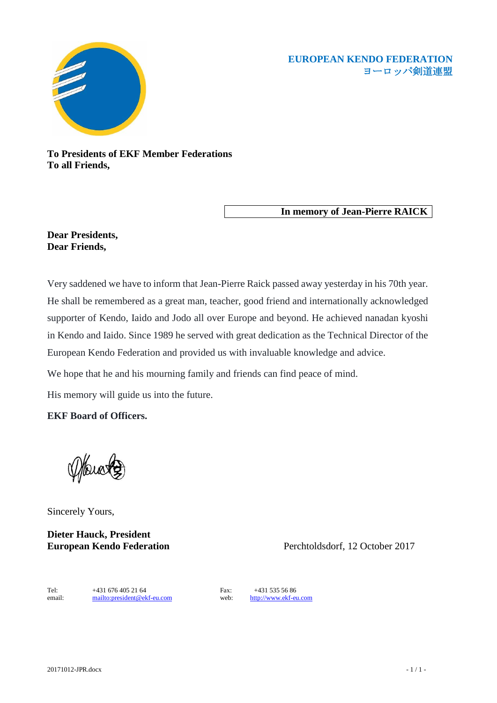## **EUROPEAN KENDO FEDERATION** ヨーロッパ剣道連盟



**To Presidents of EKF Member Federations To all Friends,** 

**In memory of Jean-Pierre RAICK** 

## **Dear Presidents, Dear Friends,**

Very saddened we have to inform that Jean-Pierre Raick passed away yesterday in his 70th year. He shall be remembered as a great man, teacher, good friend and internationally acknowledged supporter of Kendo, Iaido and Jodo all over Europe and beyond. He achieved nanadan kyoshi in Kendo and Iaido. Since 1989 he served with great dedication as the Technical Director of the European Kendo Federation and provided us with invaluable knowledge and advice.

We hope that he and his mourning family and friends can find peace of mind.

His memory will guide us into the future.

**EKF Board of Officers.**

Sincerely Yours,

**Dieter Hauck, President**

**European Kendo Federation** Perchtoldsdorf, 12 October 2017

Tel: +431 676 405 21 64 Fax: +431 535 56 86<br>email: <u>mailto:president@ekf-eu.com</u> web: http://www.ekf-eu.com email: <mailto:president@ekf-eu.com> web: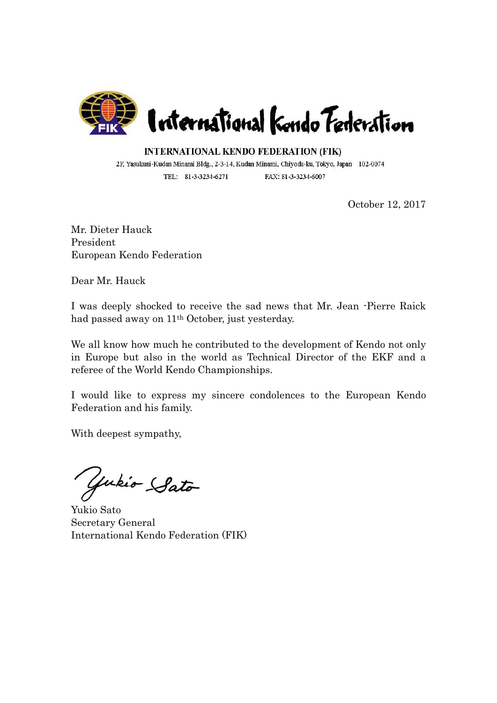

**INTERNATIONAL KENDO FEDERATION (FIK)** 

2F, Yasukuni-Kudan Minami Bldg., 2-3-14, Kudan Minami, Chiyoda-ku, Tokyo, Japan 102-0074 TEL: 81-3-3234-6271 FAX: 81-3-3234-6007

October 12, 2017

Mr. Dieter Hauck President European Kendo Federation

Dear Mr. Hauck

I was deeply shocked to receive the sad news that Mr. Jean -Pierre Raick had passed away on 11th October, just yesterday.

We all know how much he contributed to the development of Kendo not only in Europe but also in the world as Technical Director of the EKF and a referee of the World Kendo Championships.

I would like to express my sincere condolences to the European Kendo Federation and his family.

With deepest sympathy,

Gukio Sato

Yukio Sato Secretary General International Kendo Federation (FIK)